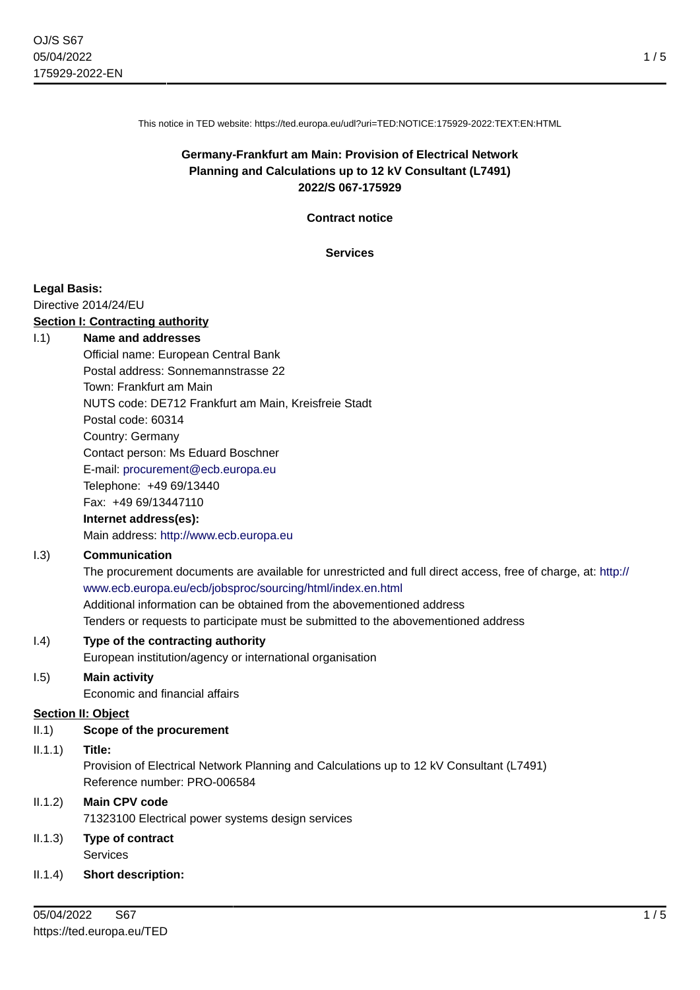This notice in TED website: https://ted.europa.eu/udl?uri=TED:NOTICE:175929-2022:TEXT:EN:HTML

# **Germany-Frankfurt am Main: Provision of Electrical Network Planning and Calculations up to 12 kV Consultant (L7491) 2022/S 067-175929**

**Contract notice**

**Services**

#### **Legal Basis:**

Directive 2014/24/EU

#### **Section I: Contracting authority**

#### I.1) **Name and addresses**

Official name: European Central Bank Postal address: Sonnemannstrasse 22 Town: Frankfurt am Main NUTS code: DE712 Frankfurt am Main, Kreisfreie Stadt Postal code: 60314 Country: Germany Contact person: Ms Eduard Boschner E-mail: [procurement@ecb.europa.eu](mailto:procurement@ecb.europa.eu) Telephone: +49 69/13440 Fax: +49 69/13447110 **Internet address(es):** Main address:<http://www.ecb.europa.eu>

### I.3) **Communication**

The procurement documents are available for unrestricted and full direct access, free of charge, at: [http://](http://www.ecb.europa.eu/ecb/jobsproc/sourcing/html/index.en.html) [www.ecb.europa.eu/ecb/jobsproc/sourcing/html/index.en.html](http://www.ecb.europa.eu/ecb/jobsproc/sourcing/html/index.en.html) Additional information can be obtained from the abovementioned address Tenders or requests to participate must be submitted to the abovementioned address

### I.4) **Type of the contracting authority**

European institution/agency or international organisation

### I.5) **Main activity**

Economic and financial affairs

### **Section II: Object**

II.1) **Scope of the procurement**

### II.1.1) **Title:**

Provision of Electrical Network Planning and Calculations up to 12 kV Consultant (L7491) Reference number: PRO-006584

### II.1.2) **Main CPV code**

71323100 Electrical power systems design services

# II.1.3) **Type of contract**

Services

### II.1.4) **Short description:**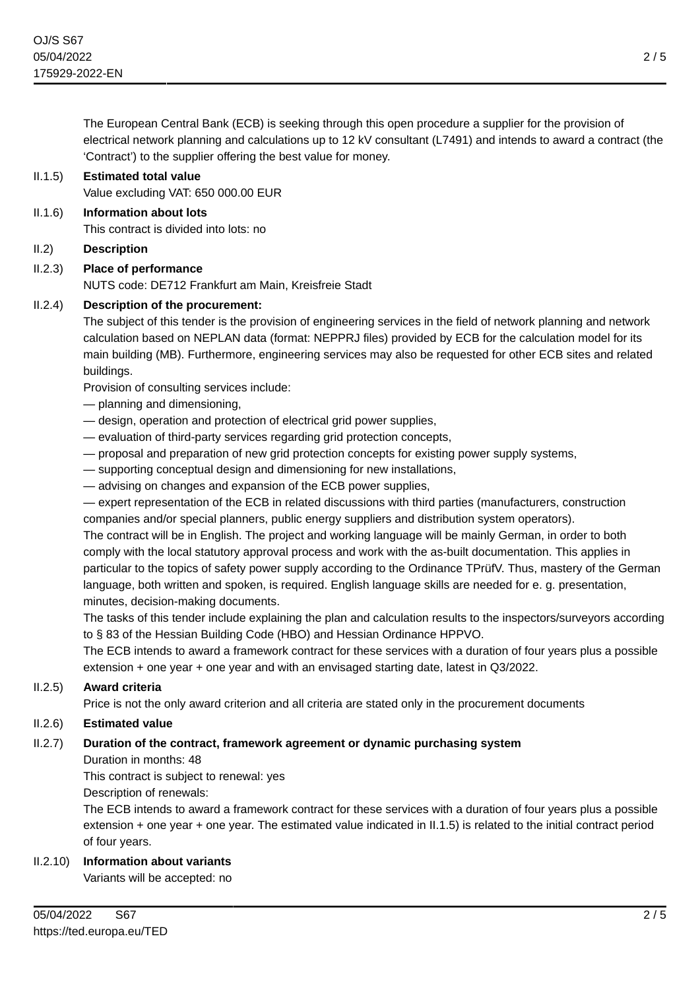The European Central Bank (ECB) is seeking through this open procedure a supplier for the provision of electrical network planning and calculations up to 12 kV consultant (L7491) and intends to award a contract (the 'Contract') to the supplier offering the best value for money.

### II.1.5) **Estimated total value**

Value excluding VAT: 650 000.00 EUR

- II.1.6) **Information about lots** This contract is divided into lots: no
- II.2) **Description**

# II.2.3) **Place of performance**

NUTS code: DE712 Frankfurt am Main, Kreisfreie Stadt

### II.2.4) **Description of the procurement:**

The subject of this tender is the provision of engineering services in the field of network planning and network calculation based on NEPLAN data (format: NEPPRJ files) provided by ECB for the calculation model for its main building (MB). Furthermore, engineering services may also be requested for other ECB sites and related buildings.

Provision of consulting services include:

- planning and dimensioning,
- design, operation and protection of electrical grid power supplies,
- evaluation of third-party services regarding grid protection concepts,
- proposal and preparation of new grid protection concepts for existing power supply systems,
- supporting conceptual design and dimensioning for new installations,
- advising on changes and expansion of the ECB power supplies,

— expert representation of the ECB in related discussions with third parties (manufacturers, construction companies and/or special planners, public energy suppliers and distribution system operators).

The contract will be in English. The project and working language will be mainly German, in order to both comply with the local statutory approval process and work with the as-built documentation. This applies in particular to the topics of safety power supply according to the Ordinance TPrüfV. Thus, mastery of the German language, both written and spoken, is required. English language skills are needed for e. g. presentation, minutes, decision-making documents.

The tasks of this tender include explaining the plan and calculation results to the inspectors/surveyors according to § 83 of the Hessian Building Code (HBO) and Hessian Ordinance HPPVO.

The ECB intends to award a framework contract for these services with a duration of four years plus a possible extension + one year + one year and with an envisaged starting date, latest in Q3/2022.

### II.2.5) **Award criteria**

Price is not the only award criterion and all criteria are stated only in the procurement documents

### II.2.6) **Estimated value**

## II.2.7) **Duration of the contract, framework agreement or dynamic purchasing system**

Duration in months: 48

This contract is subject to renewal: yes

Description of renewals:

The ECB intends to award a framework contract for these services with a duration of four years plus a possible extension + one year + one year. The estimated value indicated in II.1.5) is related to the initial contract period of four years.

## II.2.10) **Information about variants**

Variants will be accepted: no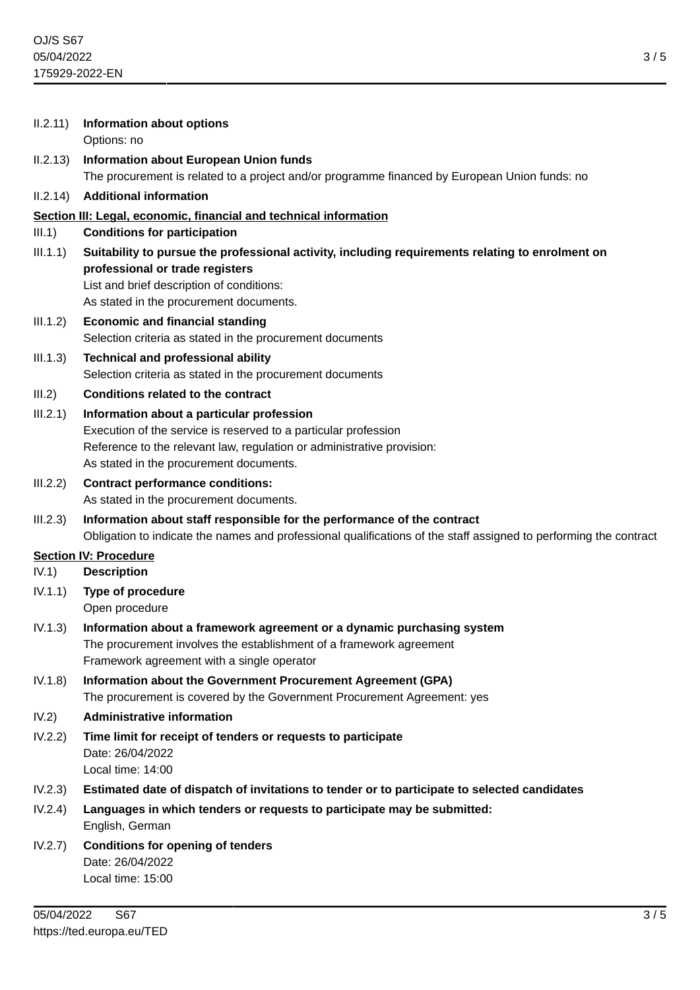| II.2.11) | <b>Information about options</b><br>Options: no                                                                                           |
|----------|-------------------------------------------------------------------------------------------------------------------------------------------|
| II.2.13) | <b>Information about European Union funds</b>                                                                                             |
|          | The procurement is related to a project and/or programme financed by European Union funds: no                                             |
| II.2.14) | <b>Additional information</b>                                                                                                             |
|          | Section III: Legal, economic, financial and technical information                                                                         |
| III.1)   | <b>Conditions for participation</b>                                                                                                       |
| III.1.1) | Suitability to pursue the professional activity, including requirements relating to enrolment on                                          |
|          | professional or trade registers<br>List and brief description of conditions:                                                              |
|          | As stated in the procurement documents.                                                                                                   |
| III.1.2) | <b>Economic and financial standing</b>                                                                                                    |
|          | Selection criteria as stated in the procurement documents                                                                                 |
| III.1.3) | <b>Technical and professional ability</b>                                                                                                 |
|          | Selection criteria as stated in the procurement documents                                                                                 |
| III.2)   | <b>Conditions related to the contract</b>                                                                                                 |
| III.2.1) | Information about a particular profession                                                                                                 |
|          | Execution of the service is reserved to a particular profession<br>Reference to the relevant law, regulation or administrative provision: |
|          | As stated in the procurement documents.                                                                                                   |
| III.2.2) | <b>Contract performance conditions:</b>                                                                                                   |
|          | As stated in the procurement documents.                                                                                                   |
| III.2.3) | Information about staff responsible for the performance of the contract                                                                   |
|          | Obligation to indicate the names and professional qualifications of the staff assigned to performing the contract                         |
|          | <b>Section IV: Procedure</b>                                                                                                              |
| IV.1)    | <b>Description</b>                                                                                                                        |
| IV.1.1)  | <b>Type of procedure</b><br>Open procedure                                                                                                |
| IV.1.3)  | Information about a framework agreement or a dynamic purchasing system                                                                    |
|          | The procurement involves the establishment of a framework agreement<br>Framework agreement with a single operator                         |
| IV.1.8)  | Information about the Government Procurement Agreement (GPA)                                                                              |
|          | The procurement is covered by the Government Procurement Agreement: yes                                                                   |
| IV.2)    | <b>Administrative information</b>                                                                                                         |
| IV.2.2)  | Time limit for receipt of tenders or requests to participate                                                                              |
|          | Date: 26/04/2022                                                                                                                          |
|          | Local time: 14:00                                                                                                                         |
| IV.2.3)  | Estimated date of dispatch of invitations to tender or to participate to selected candidates                                              |
| IV.2.4)  | Languages in which tenders or requests to participate may be submitted:<br>English, German                                                |
| IV.2.7)  | <b>Conditions for opening of tenders</b>                                                                                                  |
|          | Date: 26/04/2022                                                                                                                          |
|          | Local time: 15:00                                                                                                                         |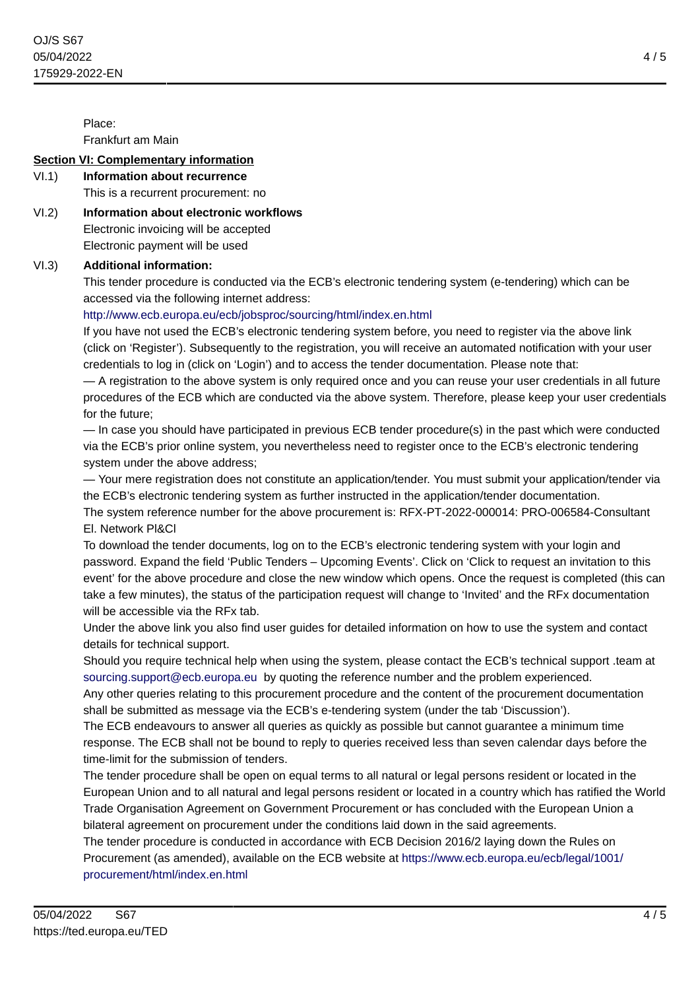Place:

Frankfurt am Main

## **Section VI: Complementary information**

# VI.1) **Information about recurrence**

This is a recurrent procurement: no

VI.2) **Information about electronic workflows** Electronic invoicing will be accepted Electronic payment will be used

# VI.3) **Additional information:**

This tender procedure is conducted via the ECB's electronic tendering system (e-tendering) which can be accessed via the following internet address:

# <http://www.ecb.europa.eu/ecb/jobsproc/sourcing/html/index.en.html>

If you have not used the ECB's electronic tendering system before, you need to register via the above link (click on 'Register'). Subsequently to the registration, you will receive an automated notification with your user credentials to log in (click on 'Login') and to access the tender documentation. Please note that:

— A registration to the above system is only required once and you can reuse your user credentials in all future procedures of the ECB which are conducted via the above system. Therefore, please keep your user credentials for the future;

— In case you should have participated in previous ECB tender procedure(s) in the past which were conducted via the ECB's prior online system, you nevertheless need to register once to the ECB's electronic tendering system under the above address;

— Your mere registration does not constitute an application/tender. You must submit your application/tender via the ECB's electronic tendering system as further instructed in the application/tender documentation.

The system reference number for the above procurement is: RFX-PT-2022-000014: PRO-006584-Consultant El. Network Pl&Cl

To download the tender documents, log on to the ECB's electronic tendering system with your login and password. Expand the field 'Public Tenders – Upcoming Events'. Click on 'Click to request an invitation to this event' for the above procedure and close the new window which opens. Once the request is completed (this can take a few minutes), the status of the participation request will change to 'Invited' and the RFx documentation will be accessible via the RFx tab.

Under the above link you also find user guides for detailed information on how to use the system and contact details for technical support.

Should you require technical help when using the system, please contact the ECB's technical support .team at [sourcing.support@ecb.europa.eu](mailto:sourcing.support@ecb.europa.eu) by quoting the reference number and the problem experienced.

Any other queries relating to this procurement procedure and the content of the procurement documentation shall be submitted as message via the ECB's e-tendering system (under the tab 'Discussion').

The ECB endeavours to answer all queries as quickly as possible but cannot guarantee a minimum time response. The ECB shall not be bound to reply to queries received less than seven calendar days before the time-limit for the submission of tenders.

The tender procedure shall be open on equal terms to all natural or legal persons resident or located in the European Union and to all natural and legal persons resident or located in a country which has ratified the World Trade Organisation Agreement on Government Procurement or has concluded with the European Union a bilateral agreement on procurement under the conditions laid down in the said agreements.

The tender procedure is conducted in accordance with ECB Decision 2016/2 laying down the Rules on Procurement (as amended), available on the ECB website at [https://www.ecb.europa.eu/ecb/legal/1001/](https://www.ecb.europa.eu/ecb/legal/1001/procurement/html/index.en.html) [procurement/html/index.en.html](https://www.ecb.europa.eu/ecb/legal/1001/procurement/html/index.en.html)